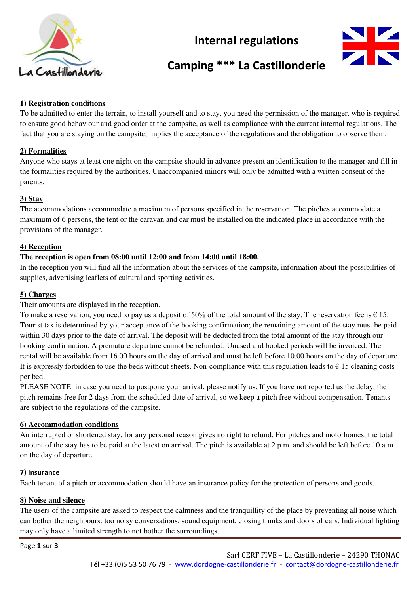

# **Internal regulations**



# **Camping \*\*\* La Castillonderie**

# **1) Registration conditions**

To be admitted to enter the terrain, to install yourself and to stay, you need the permission of the manager, who is required to ensure good behaviour and good order at the campsite, as well as compliance with the current internal regulations. The fact that you are staying on the campsite, implies the acceptance of the regulations and the obligation to observe them.

#### **2) Formalities**

Anyone who stays at least one night on the campsite should in advance present an identification to the manager and fill in the formalities required by the authorities. Unaccompanied minors will only be admitted with a written consent of the parents.

#### **3) Stay**

The accommodations accommodate a maximum of persons specified in the reservation. The pitches accommodate a maximum of 6 persons, the tent or the caravan and car must be installed on the indicated place in accordance with the provisions of the manager.

# **4) Reception**

#### **The reception is open from 08:00 until 12:00 and from 14:00 until 18:00.**

In the reception you will find all the information about the services of the campsite, information about the possibilities of supplies, advertising leaflets of cultural and sporting activities.

# **5) Charges**

Their amounts are displayed in the reception.

To make a reservation, you need to pay us a deposit of 50% of the total amount of the stay. The reservation fee is  $\epsilon$  15. Tourist tax is determined by your acceptance of the booking confirmation; the remaining amount of the stay must be paid within 30 days prior to the date of arrival. The deposit will be deducted from the total amount of the stay through our booking confirmation. A premature departure cannot be refunded. Unused and booked periods will be invoiced. The rental will be available from 16.00 hours on the day of arrival and must be left before 10.00 hours on the day of departure. It is expressly forbidden to use the beds without sheets. Non-compliance with this regulation leads to  $\epsilon$  15 cleaning costs per bed.

PLEASE NOTE: in case you need to postpone your arrival, please notify us. If you have not reported us the delay, the pitch remains free for 2 days from the scheduled date of arrival, so we keep a pitch free without compensation. Tenants are subject to the regulations of the campsite.

#### **6) Accommodation conditions**

An interrupted or shortened stay, for any personal reason gives no right to refund. For pitches and motorhomes, the total amount of the stay has to be paid at the latest on arrival. The pitch is available at 2 p.m. and should be left before 10 a.m. on the day of departure.

#### **7) Insurance**

Each tenant of a pitch or accommodation should have an insurance policy for the protection of persons and goods.

#### **8) Noise and silence**

The users of the campsite are asked to respect the calmness and the tranquillity of the place by preventing all noise which can bother the neighbours: too noisy conversations, sound equipment, closing trunks and doors of cars. Individual lighting may only have a limited strength to not bother the surroundings.

Page **1** sur **3**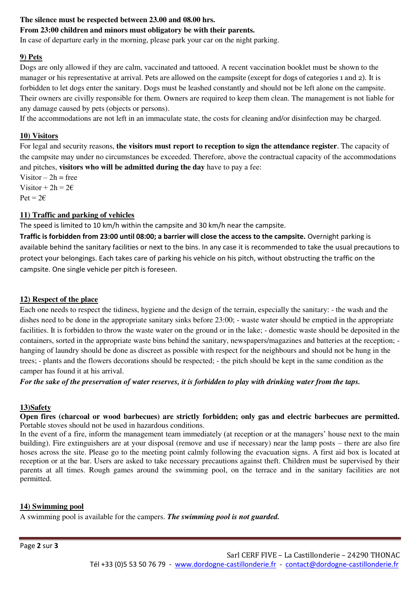# **The silence must be respected between 23.00 and 08.00 hrs.**

# **From 23:00 children and minors must obligatory be with their parents.**

In case of departure early in the morning, please park your car on the night parking.

### **9) Pets**

Dogs are only allowed if they are calm, vaccinated and tattooed. A recent vaccination booklet must be shown to the manager or his representative at arrival. Pets are allowed on the campsite (except for dogs of categories 1 and 2). It is forbidden to let dogs enter the sanitary. Dogs must be leashed constantly and should not be left alone on the campsite. Their owners are civilly responsible for them. Owners are required to keep them clean. The management is not liable for any damage caused by pets (objects or persons).

If the accommodations are not left in an immaculate state, the costs for cleaning and/or disinfection may be charged.

# **10) Visitors**

For legal and security reasons, **the visitors must report to reception to sign the attendance register**. The capacity of the campsite may under no circumstances be exceeded. Therefore, above the contractual capacity of the accommodations and pitches, **visitors who will be admitted during the day** have to pay a fee:

Visitor  $-2h$  = free Visitor +  $2h = 2\varepsilon$  $Pet = 2€$ 

# **11) Traffic and parking of vehicles**

The speed is limited to 10 km/h within the campsite and 30 km/h near the campsite.

**Traffic is forbidden from 23:00 until 08:00; a barrier will close the access to the campsite.** Overnight parking is available behind the sanitary facilities or next to the bins. In any case it is recommended to take the usual precautions to protect your belongings. Each takes care of parking his vehicle on his pitch, without obstructing the traffic on the campsite. One single vehicle per pitch is foreseen.

### **12) Respect of the place**

Each one needs to respect the tidiness, hygiene and the design of the terrain, especially the sanitary: - the wash and the dishes need to be done in the appropriate sanitary sinks before 23:00; - waste water should be emptied in the appropriate facilities. It is forbidden to throw the waste water on the ground or in the lake; - domestic waste should be deposited in the containers, sorted in the appropriate waste bins behind the sanitary, newspapers/magazines and batteries at the reception; hanging of laundry should be done as discreet as possible with respect for the neighbours and should not be hung in the trees; - plants and the flowers decorations should be respected; - the pitch should be kept in the same condition as the camper has found it at his arrival.

*For the sake of the preservation of water reserves, it is forbidden to play with drinking water from the taps.* 

#### **13)Safety**

**Open fires (charcoal or wood barbecues) are strictly forbidden; only gas and electric barbecues are permitted.** Portable stoves should not be used in hazardous conditions.

In the event of a fire, inform the management team immediately (at reception or at the managers' house next to the main building). Fire extinguishers are at your disposal (remove and use if necessary) near the lamp posts – there are also fire hoses across the site. Please go to the meeting point calmly following the evacuation signs. A first aid box is located at reception or at the bar. Users are asked to take necessary precautions against theft. Children must be supervised by their parents at all times. Rough games around the swimming pool, on the terrace and in the sanitary facilities are not permitted.

#### **14) Swimming pool**

A swimming pool is available for the campers. *The swimming pool is not guarded.*